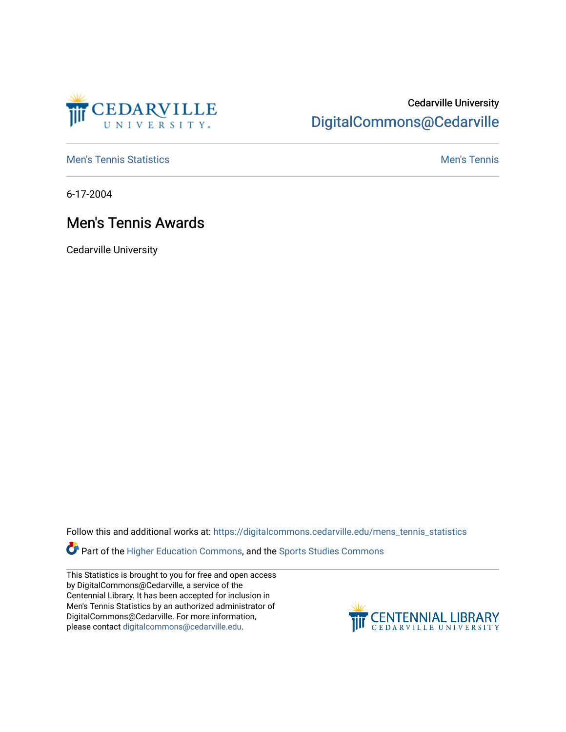

# Cedarville University [DigitalCommons@Cedarville](https://digitalcommons.cedarville.edu/)

**[Men's Tennis Statistics](https://digitalcommons.cedarville.edu/mens_tennis_statistics) Mental According to the Control of Control According Mental Men's Tennis** 

6-17-2004

# Men's Tennis Awards

Cedarville University

Follow this and additional works at: [https://digitalcommons.cedarville.edu/mens\\_tennis\\_statistics](https://digitalcommons.cedarville.edu/mens_tennis_statistics?utm_source=digitalcommons.cedarville.edu%2Fmens_tennis_statistics%2F594&utm_medium=PDF&utm_campaign=PDFCoverPages)

Part of the [Higher Education Commons,](http://network.bepress.com/hgg/discipline/1245?utm_source=digitalcommons.cedarville.edu%2Fmens_tennis_statistics%2F594&utm_medium=PDF&utm_campaign=PDFCoverPages) and the Sports Studies Commons

This Statistics is brought to you for free and open access by DigitalCommons@Cedarville, a service of the Centennial Library. It has been accepted for inclusion in Men's Tennis Statistics by an authorized administrator of DigitalCommons@Cedarville. For more information, please contact [digitalcommons@cedarville.edu](mailto:digitalcommons@cedarville.edu).